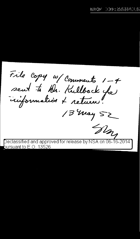File Copy w/ Comments 1-4 sent to hb. Kullback fa 13 May 52 'SMY

 $\overline{\rm{Declassified}}$  and approved for release by NSA on 06-16-2014 bursuant to E.O. 13526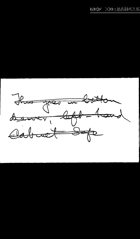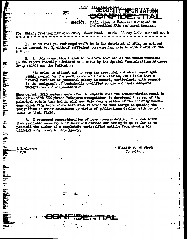Publication of Material Contained in subject. Unclassified AFSA Technical Document

i.

 $\mathbf{r}$ 

ī t

ł

t

DATE: 13 May 1952 COMMENT NO. 4 Chief, Training Division FROR: Consultant TO 1

**REF** 

To do what you recommend-would be to the detriment of AFSA, as pointed out in Comment No. 3, without sufficient compensating gain to either AFSA or the author.

2. In this connection I wish to indicate that one of the recommendations in the report recently submitted to DIRAFGA by the Special Communications Advisory Group (SCAG) was the following:

"In order to attract and to keep key personnel and other top-flight people needed for the performance of AFSA's mission, SCAG feels that a careful revision of personnel policy is needed, particularly with respect to the assignment of technically qualified people and their adequate recognition and compensation."

When certain SCAG members were asked to explain what the recommendation meant in connection with the phrase "adequate recognition" it developed that one of the principal points they had in mind was this very question of the security handieaps which AFCA technicians have when it comes to such things as gaining the recognition of other scientists by virtue of publications dealing with contributions to their field.

3. I recommend reconsideration of your recommendation. I do not think that realistic security considerations dictate our having to go so far as to prohibit the author of a completely unclassified article from showing his official attachment to this Agency.

1 Inclosure n/o

<u>iei un das daine de la de la data</u>

...<br>الت

量

ببيخ

**Contract of the Second Second Second** 

· WILLIAM F. FRIEDMAN Consultant